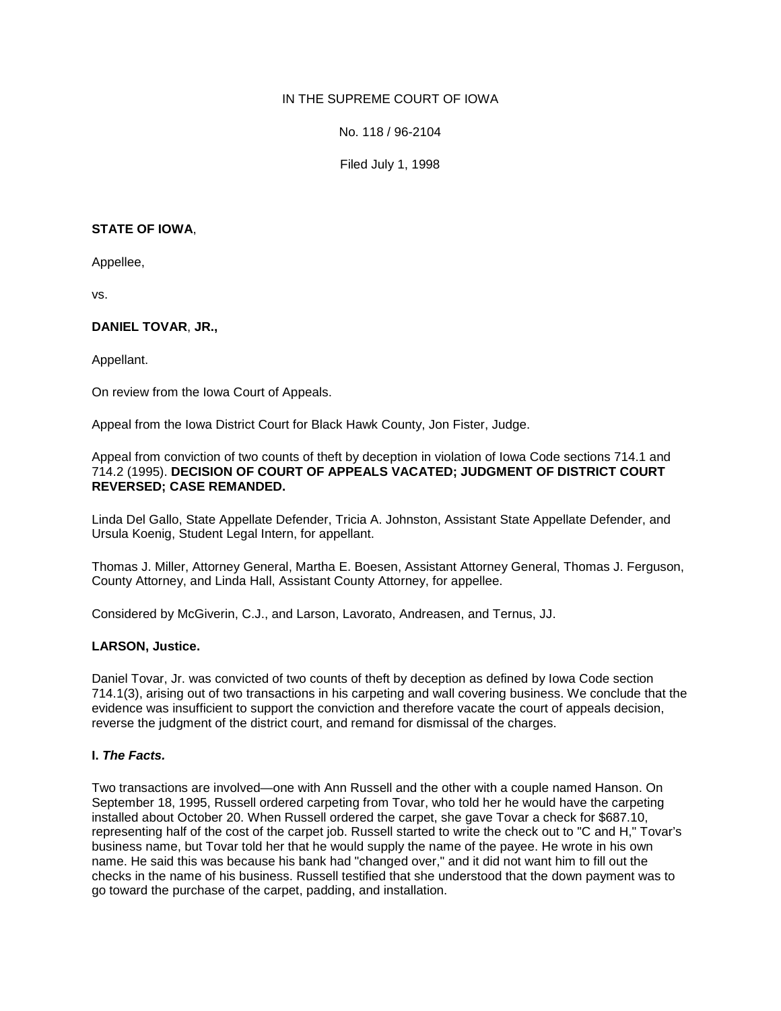# IN THE SUPREME COURT OF IOWA

No. 118 / 96-2104

Filed July 1, 1998

## **STATE OF IOWA**,

Appellee,

vs.

# **DANIEL TOVAR**, **JR.,**

Appellant.

On review from the Iowa Court of Appeals.

Appeal from the Iowa District Court for Black Hawk County, Jon Fister, Judge.

Appeal from conviction of two counts of theft by deception in violation of Iowa Code sections 714.1 and 714.2 (1995). **DECISION OF COURT OF APPEALS VACATED; JUDGMENT OF DISTRICT COURT REVERSED; CASE REMANDED.**

Linda Del Gallo, State Appellate Defender, Tricia A. Johnston, Assistant State Appellate Defender, and Ursula Koenig, Student Legal Intern, for appellant.

Thomas J. Miller, Attorney General, Martha E. Boesen, Assistant Attorney General, Thomas J. Ferguson, County Attorney, and Linda Hall, Assistant County Attorney, for appellee.

Considered by McGiverin, C.J., and Larson, Lavorato, Andreasen, and Ternus, JJ.

## **LARSON, Justice.**

Daniel Tovar, Jr. was convicted of two counts of theft by deception as defined by Iowa Code section 714.1(3), arising out of two transactions in his carpeting and wall covering business. We conclude that the evidence was insufficient to support the conviction and therefore vacate the court of appeals decision, reverse the judgment of the district court, and remand for dismissal of the charges.

## **I.** *The Facts.*

Two transactions are involved—one with Ann Russell and the other with a couple named Hanson. On September 18, 1995, Russell ordered carpeting from Tovar, who told her he would have the carpeting installed about October 20. When Russell ordered the carpet, she gave Tovar a check for \$687.10, representing half of the cost of the carpet job. Russell started to write the check out to "C and H," Tovar's business name, but Tovar told her that he would supply the name of the payee. He wrote in his own name. He said this was because his bank had "changed over," and it did not want him to fill out the checks in the name of his business. Russell testified that she understood that the down payment was to go toward the purchase of the carpet, padding, and installation.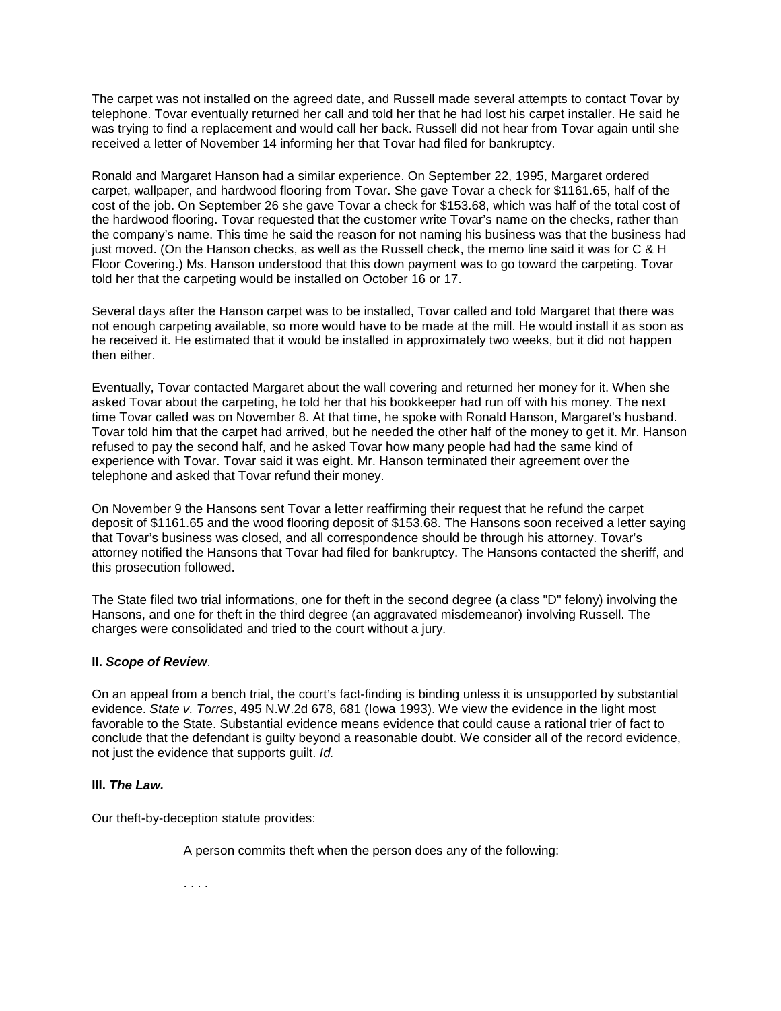The carpet was not installed on the agreed date, and Russell made several attempts to contact Tovar by telephone. Tovar eventually returned her call and told her that he had lost his carpet installer. He said he was trying to find a replacement and would call her back. Russell did not hear from Tovar again until she received a letter of November 14 informing her that Tovar had filed for bankruptcy.

Ronald and Margaret Hanson had a similar experience. On September 22, 1995, Margaret ordered carpet, wallpaper, and hardwood flooring from Tovar. She gave Tovar a check for \$1161.65, half of the cost of the job. On September 26 she gave Tovar a check for \$153.68, which was half of the total cost of the hardwood flooring. Tovar requested that the customer write Tovar's name on the checks, rather than the company's name. This time he said the reason for not naming his business was that the business had just moved. (On the Hanson checks, as well as the Russell check, the memo line said it was for C & H Floor Covering.) Ms. Hanson understood that this down payment was to go toward the carpeting. Tovar told her that the carpeting would be installed on October 16 or 17.

Several days after the Hanson carpet was to be installed, Tovar called and told Margaret that there was not enough carpeting available, so more would have to be made at the mill. He would install it as soon as he received it. He estimated that it would be installed in approximately two weeks, but it did not happen then either.

Eventually, Tovar contacted Margaret about the wall covering and returned her money for it. When she asked Tovar about the carpeting, he told her that his bookkeeper had run off with his money. The next time Tovar called was on November 8. At that time, he spoke with Ronald Hanson, Margaret's husband. Tovar told him that the carpet had arrived, but he needed the other half of the money to get it. Mr. Hanson refused to pay the second half, and he asked Tovar how many people had had the same kind of experience with Tovar. Tovar said it was eight. Mr. Hanson terminated their agreement over the telephone and asked that Tovar refund their money.

On November 9 the Hansons sent Tovar a letter reaffirming their request that he refund the carpet deposit of \$1161.65 and the wood flooring deposit of \$153.68. The Hansons soon received a letter saying that Tovar's business was closed, and all correspondence should be through his attorney. Tovar's attorney notified the Hansons that Tovar had filed for bankruptcy. The Hansons contacted the sheriff, and this prosecution followed.

The State filed two trial informations, one for theft in the second degree (a class "D" felony) involving the Hansons, and one for theft in the third degree (an aggravated misdemeanor) involving Russell. The charges were consolidated and tried to the court without a jury.

## **II.** *Scope of Review*.

On an appeal from a bench trial, the court's fact-finding is binding unless it is unsupported by substantial evidence. *State v. Torres*, 495 N.W.2d 678, 681 (Iowa 1993). We view the evidence in the light most favorable to the State. Substantial evidence means evidence that could cause a rational trier of fact to conclude that the defendant is guilty beyond a reasonable doubt. We consider all of the record evidence, not just the evidence that supports guilt. *Id.*

## **III.** *The Law.*

Our theft-by-deception statute provides:

A person commits theft when the person does any of the following:

. . . .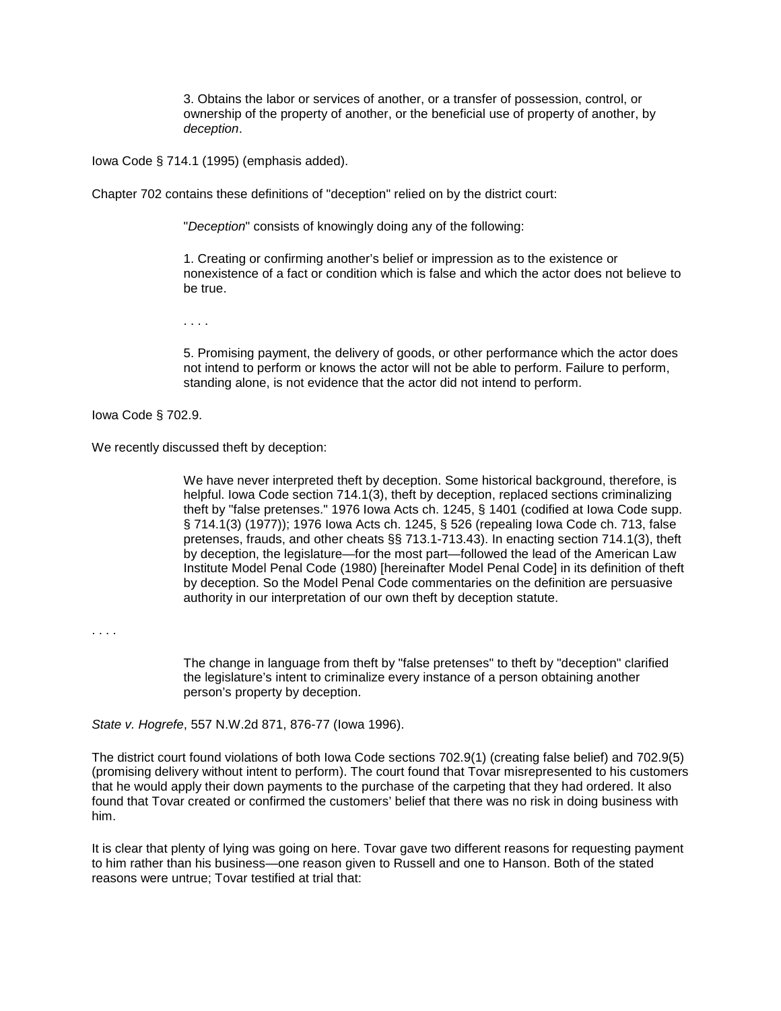3. Obtains the labor or services of another, or a transfer of possession, control, or ownership of the property of another, or the beneficial use of property of another, by *deception*.

Iowa Code § 714.1 (1995) (emphasis added).

Chapter 702 contains these definitions of "deception" relied on by the district court:

"*Deception*" consists of knowingly doing any of the following:

1. Creating or confirming another's belief or impression as to the existence or nonexistence of a fact or condition which is false and which the actor does not believe to be true.

. . . .

5. Promising payment, the delivery of goods, or other performance which the actor does not intend to perform or knows the actor will not be able to perform. Failure to perform, standing alone, is not evidence that the actor did not intend to perform.

Iowa Code § 702.9.

We recently discussed theft by deception:

We have never interpreted theft by deception. Some historical background, therefore, is helpful. Iowa Code section 714.1(3), theft by deception, replaced sections criminalizing theft by "false pretenses." 1976 Iowa Acts ch. 1245, § 1401 (codified at Iowa Code supp. § 714.1(3) (1977)); 1976 Iowa Acts ch. 1245, § 526 (repealing Iowa Code ch. 713, false pretenses, frauds, and other cheats §§ 713.1-713.43). In enacting section 714.1(3), theft by deception, the legislature—for the most part—followed the lead of the American Law Institute Model Penal Code (1980) [hereinafter Model Penal Code] in its definition of theft by deception. So the Model Penal Code commentaries on the definition are persuasive authority in our interpretation of our own theft by deception statute.

. . . .

The change in language from theft by "false pretenses" to theft by "deception" clarified the legislature's intent to criminalize every instance of a person obtaining another person's property by deception.

*State v. Hogrefe*, 557 N.W.2d 871, 876-77 (Iowa 1996).

The district court found violations of both Iowa Code sections 702.9(1) (creating false belief) and 702.9(5) (promising delivery without intent to perform). The court found that Tovar misrepresented to his customers that he would apply their down payments to the purchase of the carpeting that they had ordered. It also found that Tovar created or confirmed the customers' belief that there was no risk in doing business with him.

It is clear that plenty of lying was going on here. Tovar gave two different reasons for requesting payment to him rather than his business—one reason given to Russell and one to Hanson. Both of the stated reasons were untrue; Tovar testified at trial that: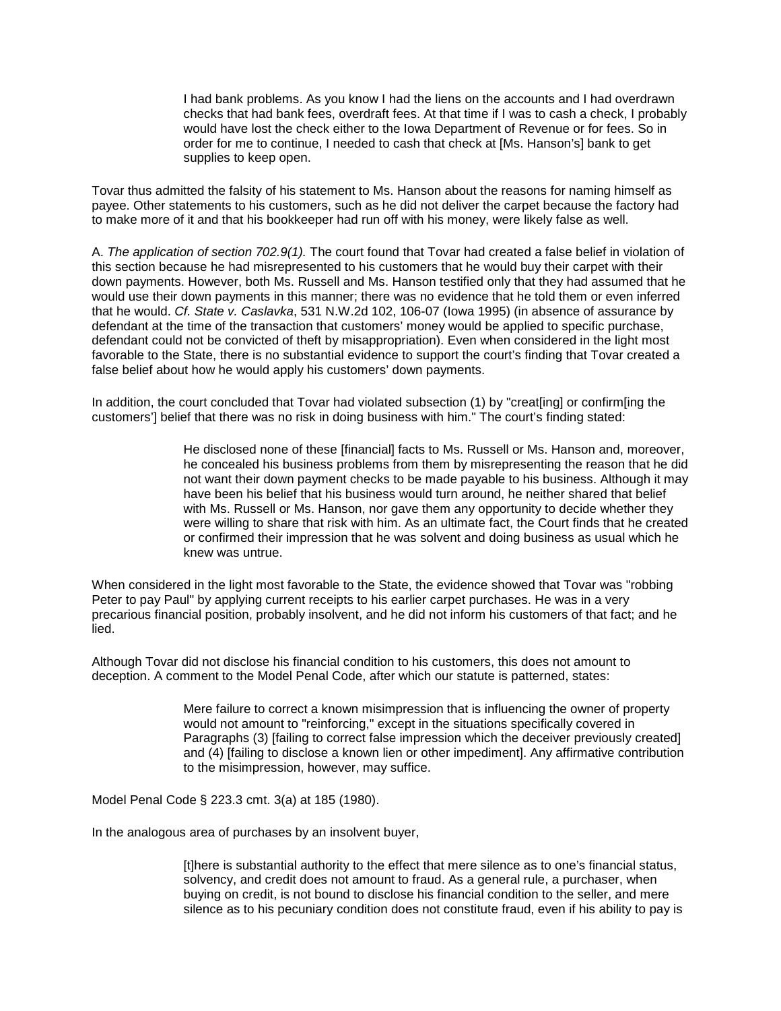I had bank problems. As you know I had the liens on the accounts and I had overdrawn checks that had bank fees, overdraft fees. At that time if I was to cash a check, I probably would have lost the check either to the Iowa Department of Revenue or for fees. So in order for me to continue, I needed to cash that check at [Ms. Hanson's] bank to get supplies to keep open.

Tovar thus admitted the falsity of his statement to Ms. Hanson about the reasons for naming himself as payee. Other statements to his customers, such as he did not deliver the carpet because the factory had to make more of it and that his bookkeeper had run off with his money, were likely false as well.

A. *The application of section 702.9(1).* The court found that Tovar had created a false belief in violation of this section because he had misrepresented to his customers that he would buy their carpet with their down payments. However, both Ms. Russell and Ms. Hanson testified only that they had assumed that he would use their down payments in this manner; there was no evidence that he told them or even inferred that he would. *Cf. State v. Caslavka*, 531 N.W.2d 102, 106-07 (Iowa 1995) (in absence of assurance by defendant at the time of the transaction that customers' money would be applied to specific purchase, defendant could not be convicted of theft by misappropriation). Even when considered in the light most favorable to the State, there is no substantial evidence to support the court's finding that Tovar created a false belief about how he would apply his customers' down payments.

In addition, the court concluded that Tovar had violated subsection (1) by "creat[ing] or confirm[ing the customers'] belief that there was no risk in doing business with him." The court's finding stated:

> He disclosed none of these [financial] facts to Ms. Russell or Ms. Hanson and, moreover, he concealed his business problems from them by misrepresenting the reason that he did not want their down payment checks to be made payable to his business. Although it may have been his belief that his business would turn around, he neither shared that belief with Ms. Russell or Ms. Hanson, nor gave them any opportunity to decide whether they were willing to share that risk with him. As an ultimate fact, the Court finds that he created or confirmed their impression that he was solvent and doing business as usual which he knew was untrue.

When considered in the light most favorable to the State, the evidence showed that Tovar was "robbing Peter to pay Paul" by applying current receipts to his earlier carpet purchases. He was in a very precarious financial position, probably insolvent, and he did not inform his customers of that fact; and he lied.

Although Tovar did not disclose his financial condition to his customers, this does not amount to deception. A comment to the Model Penal Code, after which our statute is patterned, states:

> Mere failure to correct a known misimpression that is influencing the owner of property would not amount to "reinforcing," except in the situations specifically covered in Paragraphs (3) [failing to correct false impression which the deceiver previously created] and (4) [failing to disclose a known lien or other impediment]. Any affirmative contribution to the misimpression, however, may suffice.

Model Penal Code § 223.3 cmt. 3(a) at 185 (1980).

In the analogous area of purchases by an insolvent buyer,

[t]here is substantial authority to the effect that mere silence as to one's financial status, solvency, and credit does not amount to fraud. As a general rule, a purchaser, when buying on credit, is not bound to disclose his financial condition to the seller, and mere silence as to his pecuniary condition does not constitute fraud, even if his ability to pay is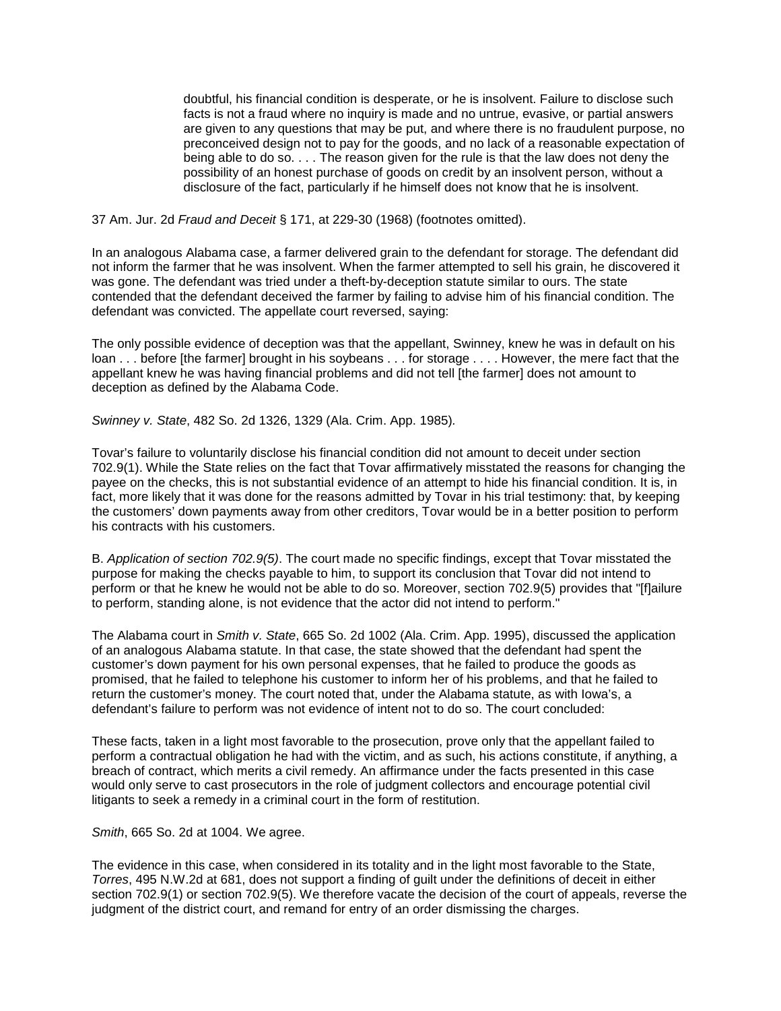doubtful, his financial condition is desperate, or he is insolvent. Failure to disclose such facts is not a fraud where no inquiry is made and no untrue, evasive, or partial answers are given to any questions that may be put, and where there is no fraudulent purpose, no preconceived design not to pay for the goods, and no lack of a reasonable expectation of being able to do so. . . . The reason given for the rule is that the law does not deny the possibility of an honest purchase of goods on credit by an insolvent person, without a disclosure of the fact, particularly if he himself does not know that he is insolvent.

37 Am. Jur. 2d *Fraud and Deceit* § 171, at 229-30 (1968) (footnotes omitted).

In an analogous Alabama case, a farmer delivered grain to the defendant for storage. The defendant did not inform the farmer that he was insolvent. When the farmer attempted to sell his grain, he discovered it was gone. The defendant was tried under a theft-by-deception statute similar to ours. The state contended that the defendant deceived the farmer by failing to advise him of his financial condition. The defendant was convicted. The appellate court reversed, saying:

The only possible evidence of deception was that the appellant, Swinney, knew he was in default on his loan . . . before [the farmer] brought in his soybeans . . . for storage . . . . However, the mere fact that the appellant knew he was having financial problems and did not tell [the farmer] does not amount to deception as defined by the Alabama Code.

*Swinney v. State*, 482 So. 2d 1326, 1329 (Ala. Crim. App. 1985)*.*

Tovar's failure to voluntarily disclose his financial condition did not amount to deceit under section 702.9(1). While the State relies on the fact that Tovar affirmatively misstated the reasons for changing the payee on the checks, this is not substantial evidence of an attempt to hide his financial condition. It is, in fact, more likely that it was done for the reasons admitted by Tovar in his trial testimony: that, by keeping the customers' down payments away from other creditors, Tovar would be in a better position to perform his contracts with his customers.

B. *Application of section 702.9(5)*. The court made no specific findings, except that Tovar misstated the purpose for making the checks payable to him, to support its conclusion that Tovar did not intend to perform or that he knew he would not be able to do so. Moreover, section 702.9(5) provides that "[f]ailure to perform, standing alone, is not evidence that the actor did not intend to perform."

The Alabama court in *Smith v. State*, 665 So. 2d 1002 (Ala. Crim. App. 1995), discussed the application of an analogous Alabama statute. In that case, the state showed that the defendant had spent the customer's down payment for his own personal expenses, that he failed to produce the goods as promised, that he failed to telephone his customer to inform her of his problems, and that he failed to return the customer's money. The court noted that, under the Alabama statute, as with Iowa's, a defendant's failure to perform was not evidence of intent not to do so. The court concluded:

These facts, taken in a light most favorable to the prosecution, prove only that the appellant failed to perform a contractual obligation he had with the victim, and as such, his actions constitute, if anything, a breach of contract, which merits a civil remedy. An affirmance under the facts presented in this case would only serve to cast prosecutors in the role of judgment collectors and encourage potential civil litigants to seek a remedy in a criminal court in the form of restitution.

*Smith*, 665 So. 2d at 1004. We agree.

The evidence in this case, when considered in its totality and in the light most favorable to the State, *Torres*, 495 N.W.2d at 681, does not support a finding of guilt under the definitions of deceit in either section 702.9(1) or section 702.9(5). We therefore vacate the decision of the court of appeals, reverse the judgment of the district court, and remand for entry of an order dismissing the charges.